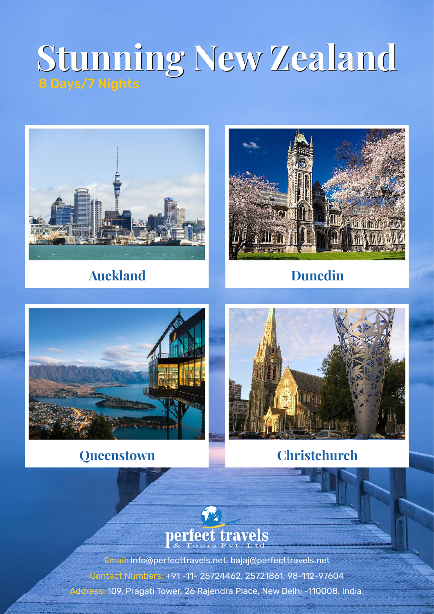# **Stunning New Zealand Stunning New Zealand**



## **Auckland Dunedin**







**Queenstown Christchurch**



Email: info@perfecttravels.net, bajaj@perfecttravels.net Contact Numbers: +91 -11- 25724462, 25721861, 98-112-97604 Address: 109, Pragati Tower, 26 Rajendra Place, New Delhi -110008. India.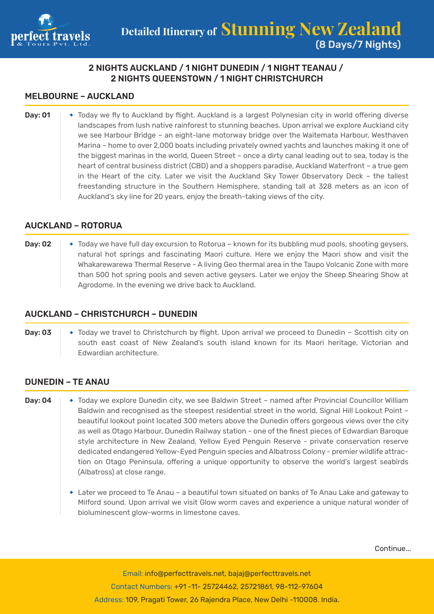

## 2 NIGHTS AUCKLAND / 1 NIGHT DUNEDIN / 1 NIGHT TEANAU / 2 NIGHTS QUEENSTOWN / 1 NIGHT CHRISTCHURCH

#### MELBOURNE – AUCKLAND

Day: 01  $\rightarrow$  Today we fly to Auckland by flight. Auckland is a largest Polynesian city in world offering diverse landscapes from lush native rainforest to stunning beaches. Upon arrival we explore Auckland city we see Harbour Bridge – an eight-lane motorway bridge over the Waitemata Harbour, Westhaven Marina – home to over 2,000 boats including privately owned yachts and launches making it one of the biggest marinas in the world, Queen Street – once a dirty canal leading out to sea, today is the heart of central business district (CBD) and a shoppers paradise, Auckland Waterfront – a true gem in the Heart of the city. Later we visit the Auckland Sky Tower Observatory Deck – the tallest freestanding structure in the Southern Hemisphere, standing tall at 328 meters as an icon of Auckland's sky line for 20 years, enjoy the breath-taking views of the city.

#### AUCKLAND – ROTORUA

**Day: 02**  $\rightarrow$  Today we have full day excursion to Rotorua – known for its bubbling mud pools, shooting geysers, natural hot springs and fascinating Maori culture. Here we enjoy the Maori show and visit the Whakarewarewa Thermal Reserve - A living Geo thermal area in the Taupo Volcanic Zone with more than 500 hot spring pools and seven active geysers. Later we enjoy the Sheep Shearing Show at Agrodome. In the evening we drive back to Auckland.

#### AUCKLAND – CHRISTCHURCH – DUNEDIN

**Day: 03**  $\rightarrow$  Today we travel to Christchurch by flight. Upon arrival we proceed to Dunedin – Scottish city on south east coast of New Zealand's south island known for its Maori heritage, Victorian and Edwardian architecture.

#### DUNEDIN – TE ANAU

- Day: 04  $\rightarrow$  Today we explore Dunedin city, we see Baldwin Street named after Provincial Councillor William Baldwin and recognised as the steepest residential street in the world, Signal Hill Lookout Point – beautiful lookout point located 300 meters above the Dunedin offers gorgeous views over the city as well as Otago Harbour, Dunedin Railway station - one of the finest pieces of Edwardian Baroque style architecture in New Zealand, Yellow Eyed Penguin Reserve - private conservation reserve dedicated endangered Yellow-Eyed Penguin species and Albatross Colony - premier wildlife attraction on Otago Peninsula, offering a unique opportunity to observe the world's largest seabirds (Albatross) at close range.
	- Later we proceed to Te Anau a beautiful town situated on banks of Te Anau Lake and gateway to Milford sound. Upon arrival we visit Glow worm caves and experience a unique natural wonder of bioluminescent glow-worms in limestone caves.

Continue...